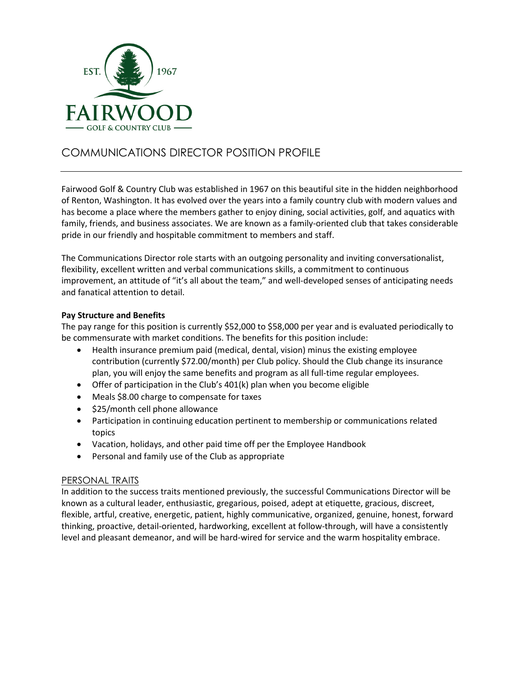

# COMMUNICATIONS DIRECTOR POSITION PROFILE

Fairwood Golf & Country Club was established in 1967 on this beautiful site in the hidden neighborhood of Renton, Washington. It has evolved over the years into a family country club with modern values and has become a place where the members gather to enjoy dining, social activities, golf, and aquatics with family, friends, and business associates. We are known as a family-oriented club that takes considerable pride in our friendly and hospitable commitment to members and staff.

The Communications Director role starts with an outgoing personality and inviting conversationalist, flexibility, excellent written and verbal communications skills, a commitment to continuous improvement, an attitude of "it's all about the team," and well-developed senses of anticipating needs and fanatical attention to detail.

### **Pay Structure and Benefits**

The pay range for this position is currently \$52,000 to \$58,000 per year and is evaluated periodically to be commensurate with market conditions. The benefits for this position include:

- Health insurance premium paid (medical, dental, vision) minus the existing employee contribution (currently \$72.00/month) per Club policy. Should the Club change its insurance plan, you will enjoy the same benefits and program as all full-time regular employees.
- Offer of participation in the Club's 401(k) plan when you become eligible
- Meals \$8.00 charge to compensate for taxes
- \$25/month cell phone allowance
- Participation in continuing education pertinent to membership or communications related topics
- Vacation, holidays, and other paid time off per the Employee Handbook
- Personal and family use of the Club as appropriate

#### PERSONAL TRAITS

In addition to the success traits mentioned previously, the successful Communications Director will be known as a cultural leader, enthusiastic, gregarious, poised, adept at etiquette, gracious, discreet, flexible, artful, creative, energetic, patient, highly communicative, organized, genuine, honest, forward thinking, proactive, detail-oriented, hardworking, excellent at follow-through, will have a consistently level and pleasant demeanor, and will be hard-wired for service and the warm hospitality embrace.